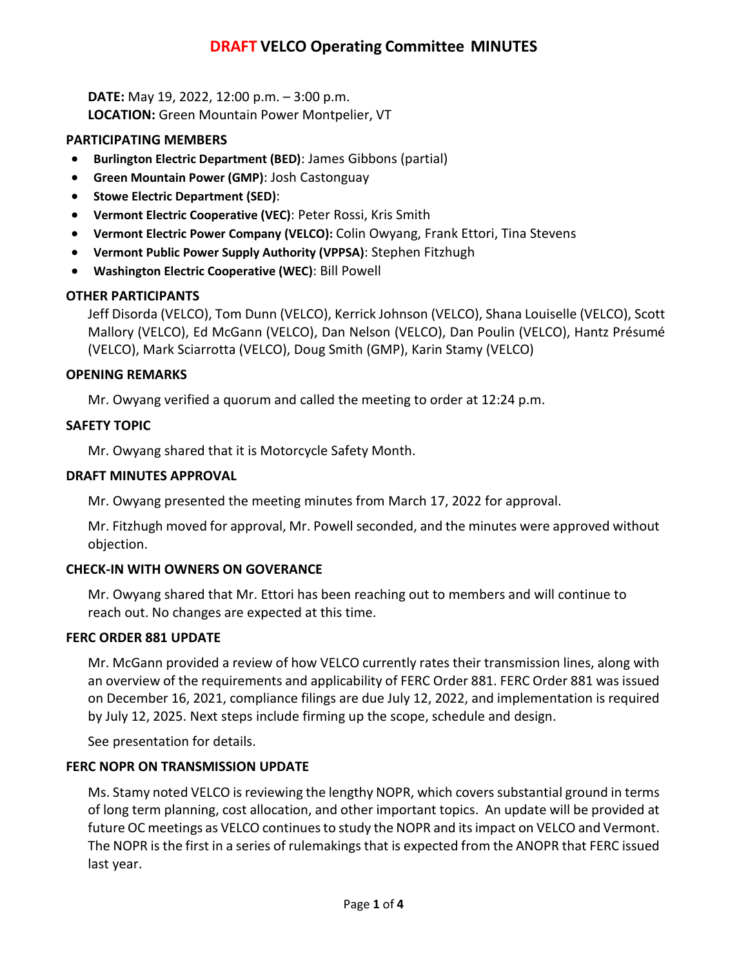# **DRAFT VELCO Operating Committee MINUTES**

**DATE:** May 19, 2022, 12:00 p.m. – 3:00 p.m. **LOCATION:** Green Mountain Power Montpelier, VT

## **PARTICIPATING MEMBERS**

- **Burlington Electric Department (BED)**: James Gibbons (partial)
- **Green Mountain Power (GMP)**: Josh Castonguay
- **Stowe Electric Department (SED)**:
- **Vermont Electric Cooperative (VEC)**: Peter Rossi, Kris Smith
- **Vermont Electric Power Company (VELCO):** Colin Owyang, Frank Ettori, Tina Stevens
- **Vermont Public Power Supply Authority (VPPSA)**: Stephen Fitzhugh
- **Washington Electric Cooperative (WEC)**: Bill Powell

## **OTHER PARTICIPANTS**

Jeff Disorda (VELCO), Tom Dunn (VELCO), Kerrick Johnson (VELCO), Shana Louiselle (VELCO), Scott Mallory (VELCO), Ed McGann (VELCO), Dan Nelson (VELCO), Dan Poulin (VELCO), Hantz Présumé (VELCO), Mark Sciarrotta (VELCO), Doug Smith (GMP), Karin Stamy (VELCO)

## **OPENING REMARKS**

Mr. Owyang verified a quorum and called the meeting to order at 12:24 p.m.

## **SAFETY TOPIC**

Mr. Owyang shared that it is Motorcycle Safety Month.

## **DRAFT MINUTES APPROVAL**

Mr. Owyang presented the meeting minutes from March 17, 2022 for approval.

Mr. Fitzhugh moved for approval, Mr. Powell seconded, and the minutes were approved without objection.

### **CHECK-IN WITH OWNERS ON GOVERANCE**

Mr. Owyang shared that Mr. Ettori has been reaching out to members and will continue to reach out. No changes are expected at this time.

### **FERC ORDER 881 UPDATE**

Mr. McGann provided a review of how VELCO currently rates their transmission lines, along with an overview of the requirements and applicability of FERC Order 881. FERC Order 881 was issued on December 16, 2021, compliance filings are due July 12, 2022, and implementation is required by July 12, 2025. Next steps include firming up the scope, schedule and design.

See presentation for details.

## **FERC NOPR ON TRANSMISSION UPDATE**

Ms. Stamy noted VELCO is reviewing the lengthy NOPR, which covers substantial ground in terms of long term planning, cost allocation, and other important topics. An update will be provided at future OC meetings as VELCO continuesto study the NOPR and its impact on VELCO and Vermont. The NOPR is the first in a series of rulemakings that is expected from the ANOPR that FERC issued last year.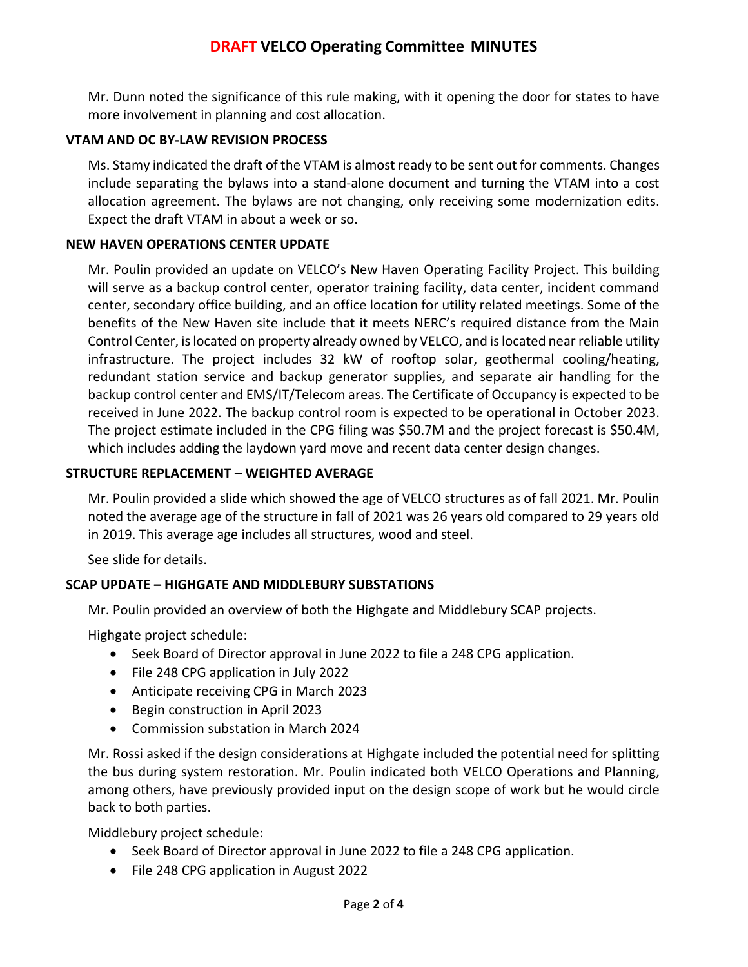Mr. Dunn noted the significance of this rule making, with it opening the door for states to have more involvement in planning and cost allocation.

## **VTAM AND OC BY-LAW REVISION PROCESS**

Ms. Stamy indicated the draft of the VTAM is almost ready to be sent out for comments. Changes include separating the bylaws into a stand-alone document and turning the VTAM into a cost allocation agreement. The bylaws are not changing, only receiving some modernization edits. Expect the draft VTAM in about a week or so.

## **NEW HAVEN OPERATIONS CENTER UPDATE**

Mr. Poulin provided an update on VELCO's New Haven Operating Facility Project. This building will serve as a backup control center, operator training facility, data center, incident command center, secondary office building, and an office location for utility related meetings. Some of the benefits of the New Haven site include that it meets NERC's required distance from the Main Control Center, is located on property already owned by VELCO, and is located near reliable utility infrastructure. The project includes 32 kW of rooftop solar, geothermal cooling/heating, redundant station service and backup generator supplies, and separate air handling for the backup control center and EMS/IT/Telecom areas. The Certificate of Occupancy is expected to be received in June 2022. The backup control room is expected to be operational in October 2023. The project estimate included in the CPG filing was \$50.7M and the project forecast is \$50.4M, which includes adding the laydown yard move and recent data center design changes.

## **STRUCTURE REPLACEMENT – WEIGHTED AVERAGE**

Mr. Poulin provided a slide which showed the age of VELCO structures as of fall 2021. Mr. Poulin noted the average age of the structure in fall of 2021 was 26 years old compared to 29 years old in 2019. This average age includes all structures, wood and steel.

See slide for details.

### **SCAP UPDATE – HIGHGATE AND MIDDLEBURY SUBSTATIONS**

Mr. Poulin provided an overview of both the Highgate and Middlebury SCAP projects.

Highgate project schedule:

- Seek Board of Director approval in June 2022 to file a 248 CPG application.
- File 248 CPG application in July 2022
- Anticipate receiving CPG in March 2023
- Begin construction in April 2023
- Commission substation in March 2024

Mr. Rossi asked if the design considerations at Highgate included the potential need for splitting the bus during system restoration. Mr. Poulin indicated both VELCO Operations and Planning, among others, have previously provided input on the design scope of work but he would circle back to both parties.

Middlebury project schedule:

- Seek Board of Director approval in June 2022 to file a 248 CPG application.
- File 248 CPG application in August 2022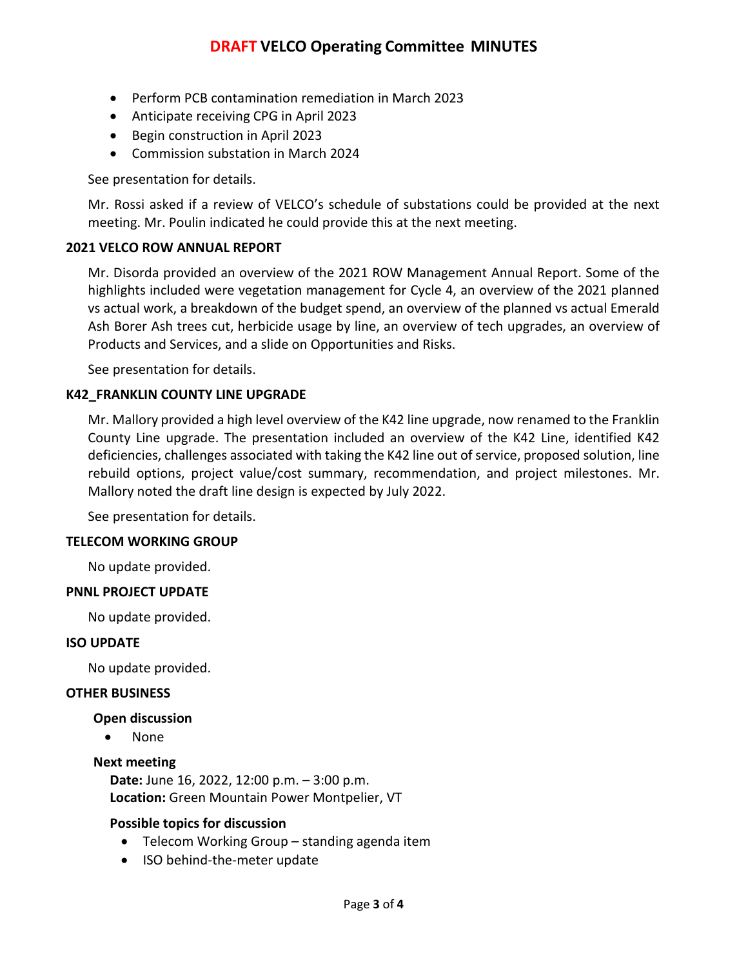- Perform PCB contamination remediation in March 2023
- Anticipate receiving CPG in April 2023
- Begin construction in April 2023
- Commission substation in March 2024

See presentation for details.

Mr. Rossi asked if a review of VELCO's schedule of substations could be provided at the next meeting. Mr. Poulin indicated he could provide this at the next meeting.

### **2021 VELCO ROW ANNUAL REPORT**

Mr. Disorda provided an overview of the 2021 ROW Management Annual Report. Some of the highlights included were vegetation management for Cycle 4, an overview of the 2021 planned vs actual work, a breakdown of the budget spend, an overview of the planned vs actual Emerald Ash Borer Ash trees cut, herbicide usage by line, an overview of tech upgrades, an overview of Products and Services, and a slide on Opportunities and Risks.

See presentation for details.

### **K42\_FRANKLIN COUNTY LINE UPGRADE**

Mr. Mallory provided a high level overview of the K42 line upgrade, now renamed to the Franklin County Line upgrade. The presentation included an overview of the K42 Line, identified K42 deficiencies, challenges associated with taking the K42 line out of service, proposed solution, line rebuild options, project value/cost summary, recommendation, and project milestones. Mr. Mallory noted the draft line design is expected by July 2022.

See presentation for details.

### **TELECOM WORKING GROUP**

No update provided.

### **PNNL PROJECT UPDATE**

No update provided.

### **ISO UPDATE**

No update provided.

### **OTHER BUSINESS**

### **Open discussion**

• None

### **Next meeting**

**Date:** June 16, 2022, 12:00 p.m. – 3:00 p.m. **Location:** Green Mountain Power Montpelier, VT

### **Possible topics for discussion**

- Telecom Working Group standing agenda item
- ISO behind-the-meter update